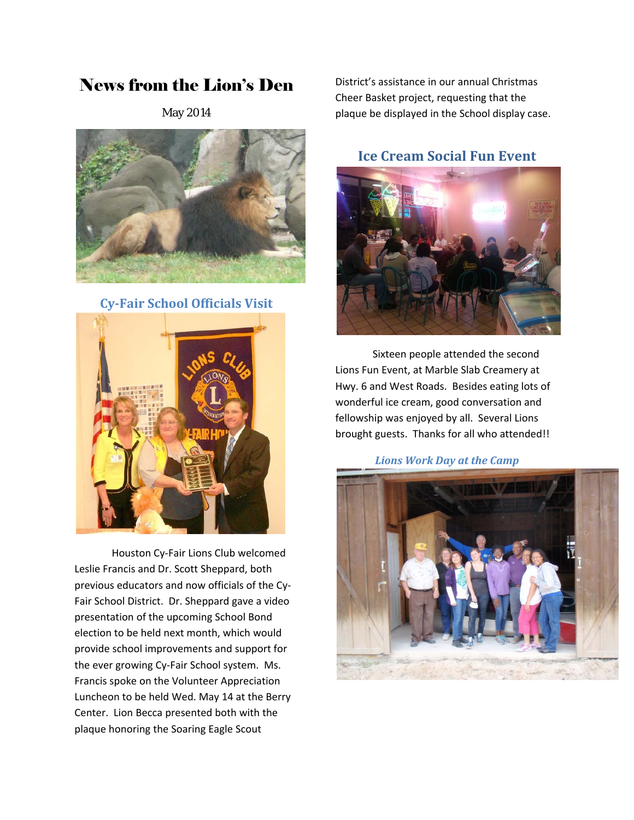## News from the Lion's Den

May 2014



**Cy‐Fair School Officials Visit**



Houston Cy‐Fair Lions Club welcomed Leslie Francis and Dr. Scott Sheppard, both previous educators and now officials of the Cy‐ Fair School District. Dr. Sheppard gave a video presentation of the upcoming School Bond election to be held next month, which would provide school improvements and support for the ever growing Cy‐Fair School system. Ms. Francis spoke on the Volunteer Appreciation Luncheon to be held Wed. May 14 at the Berry Center. Lion Becca presented both with the plaque honoring the Soaring Eagle Scout

District's assistance in our annual Christmas Cheer Basket project, requesting that the plaque be displayed in the School display case.

**Ice Cream Social Fun Event**



Sixteen people attended the second Lions Fun Event, at Marble Slab Creamery at Hwy. 6 and West Roads. Besides eating lots of wonderful ice cream, good conversation and fellowship was enjoyed by all. Several Lions brought guests. Thanks for all who attended!!

*Lions Work Day at the Camp*